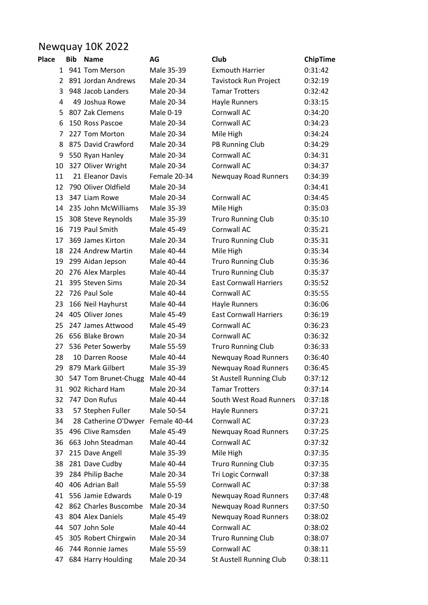## Newquay 10K 2022

| <b>Place</b> | <b>Bib</b> | <b>Name</b>          | AG           | Club                          | ChipTime |
|--------------|------------|----------------------|--------------|-------------------------------|----------|
|              |            | 1 941 Tom Merson     | Male 35-39   | <b>Exmouth Harrier</b>        | 0:31:42  |
| 2            |            | 891 Jordan Andrews   | Male 20-34   | Tavistock Run Project         | 0:32:19  |
| 3            |            | 948 Jacob Landers    | Male 20-34   | <b>Tamar Trotters</b>         | 0:32:42  |
| 4            |            | 49 Joshua Rowe       | Male 20-34   | <b>Hayle Runners</b>          | 0:33:15  |
| 5            |            | 807 Zak Clemens      | Male 0-19    | Cornwall AC                   | 0:34:20  |
| 6            |            | 150 Ross Pascoe      | Male 20-34   | Cornwall AC                   | 0:34:23  |
| 7            |            | 227 Tom Morton       | Male 20-34   | Mile High                     | 0:34:24  |
| 8            |            | 875 David Crawford   | Male 20-34   | PB Running Club               | 0:34:29  |
| 9            |            | 550 Ryan Hanley      | Male 20-34   | Cornwall AC                   | 0:34:31  |
| 10           |            | 327 Oliver Wright    | Male 20-34   | Cornwall AC                   | 0:34:37  |
| 11           |            | 21 Eleanor Davis     | Female 20-34 | Newquay Road Runners          | 0:34:39  |
| 12           |            | 790 Oliver Oldfield  | Male 20-34   |                               | 0:34:41  |
| 13           |            | 347 Liam Rowe        | Male 20-34   | Cornwall AC                   | 0:34:45  |
| 14           |            | 235 John McWilliams  | Male 35-39   | Mile High                     | 0:35:03  |
| 15           |            | 308 Steve Reynolds   | Male 35-39   | <b>Truro Running Club</b>     | 0:35:10  |
| 16           |            | 719 Paul Smith       | Male 45-49   | Cornwall AC                   | 0:35:21  |
| 17           |            | 369 James Kirton     | Male 20-34   | <b>Truro Running Club</b>     | 0:35:31  |
| 18           |            | 224 Andrew Martin    | Male 40-44   | Mile High                     | 0:35:34  |
| 19           |            | 299 Aidan Jepson     | Male 40-44   | <b>Truro Running Club</b>     | 0:35:36  |
| 20           |            | 276 Alex Marples     | Male 40-44   | <b>Truro Running Club</b>     | 0:35:37  |
| 21           |            | 395 Steven Sims      | Male 20-34   | <b>East Cornwall Harriers</b> | 0:35:52  |
| 22           |            | 726 Paul Sole        | Male 40-44   | Cornwall AC                   | 0:35:55  |
| 23           |            | 166 Neil Hayhurst    | Male 40-44   | Hayle Runners                 | 0:36:06  |
| 24           |            | 405 Oliver Jones     | Male 45-49   | <b>East Cornwall Harriers</b> | 0:36:19  |
| 25           |            | 247 James Attwood    | Male 45-49   | Cornwall AC                   | 0:36:23  |
| 26           |            | 656 Blake Brown      | Male 20-34   | Cornwall AC                   | 0:36:32  |
| 27           |            | 536 Peter Sowerby    | Male 55-59   | <b>Truro Running Club</b>     | 0:36:33  |
| 28           |            | 10 Darren Roose      | Male 40-44   | <b>Newquay Road Runners</b>   | 0:36:40  |
| 29           |            | 879 Mark Gilbert     | Male 35-39   | <b>Newquay Road Runners</b>   | 0:36:45  |
| 30           |            | 547 Tom Brunet-Chugg | Male 40-44   | St Austell Running Club       | 0:37:12  |
| 31           |            | 902 Richard Ham      | Male 20-34   | <b>Tamar Trotters</b>         | 0:37:14  |
| 32           |            | 747 Don Rufus        | Male 40-44   | South West Road Runners       | 0:37:18  |
| 33           |            | 57 Stephen Fuller    | Male 50-54   | <b>Hayle Runners</b>          | 0:37:21  |
| 34           |            | 28 Catherine O'Dwyer | Female 40-44 | Cornwall AC                   | 0:37:23  |
| 35           |            | 496 Clive Ramsden    | Male 45-49   | <b>Newquay Road Runners</b>   | 0:37:25  |
| 36           |            | 663 John Steadman    | Male 40-44   | Cornwall AC                   | 0:37:32  |
| 37           |            | 215 Dave Angell      | Male 35-39   | Mile High                     | 0:37:35  |
| 38           |            | 281 Dave Cudby       | Male 40-44   | <b>Truro Running Club</b>     | 0:37:35  |
| 39           |            | 284 Philip Bache     | Male 20-34   | Tri Logic Cornwall            | 0:37:38  |
| 40           |            | 406 Adrian Ball      | Male 55-59   | Cornwall AC                   | 0:37:38  |
| 41           |            | 556 Jamie Edwards    | Male 0-19    | <b>Newquay Road Runners</b>   | 0:37:48  |
| 42           |            | 862 Charles Buscombe | Male 20-34   | Newquay Road Runners          | 0:37:50  |
| 43           |            | 804 Alex Daniels     | Male 45-49   | <b>Newquay Road Runners</b>   | 0:38:02  |
| 44           |            | 507 John Sole        | Male 40-44   | Cornwall AC                   | 0:38:02  |
| 45           |            | 305 Robert Chirgwin  | Male 20-34   | <b>Truro Running Club</b>     | 0:38:07  |
| 46           |            | 744 Ronnie James     | Male 55-59   | Cornwall AC                   | 0:38:11  |
| 47           |            | 684 Harry Houlding   | Male 20-34   | St Austell Running Club       | 0:38:11  |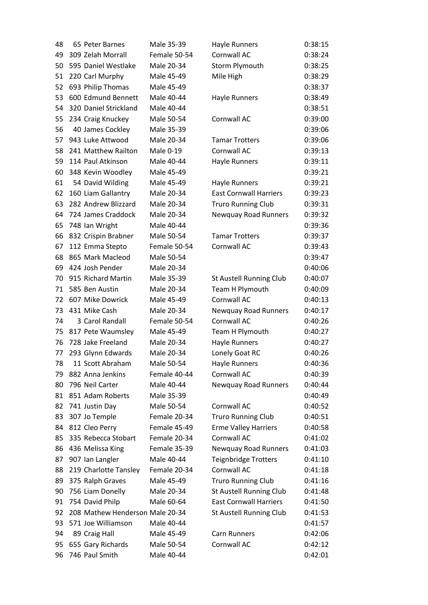| 48 | 65 Peter Barnes                 | Male 35-39   | Hayle Runners                 | 0:38:15 |
|----|---------------------------------|--------------|-------------------------------|---------|
| 49 | 309 Zelah Morrall               | Female 50-54 | Cornwall AC                   | 0:38:24 |
| 50 | 595 Daniel Westlake             | Male 20-34   | Storm Plymouth                | 0:38:25 |
| 51 | 220 Carl Murphy                 | Male 45-49   | Mile High                     | 0:38:29 |
| 52 | 693 Philip Thomas               | Male 45-49   |                               | 0:38:37 |
| 53 | 600 Edmund Bennett              | Male 40-44   | Hayle Runners                 | 0:38:49 |
| 54 | 320 Daniel Strickland           | Male 40-44   |                               | 0:38:51 |
| 55 | 234 Craig Knuckey               | Male 50-54   | Cornwall AC                   | 0:39:00 |
| 56 | 40 James Cockley                | Male 35-39   |                               | 0:39:06 |
| 57 | 943 Luke Attwood                | Male 20-34   | <b>Tamar Trotters</b>         | 0:39:06 |
| 58 | 241 Matthew Railton             | Male 0-19    | Cornwall AC                   | 0:39:13 |
| 59 | 114 Paul Atkinson               | Male 40-44   | Hayle Runners                 | 0:39:11 |
| 60 | 348 Kevin Woodley               | Male 45-49   |                               | 0:39:21 |
| 61 | 54 David Wilding                | Male 45-49   | Hayle Runners                 | 0:39:21 |
| 62 | 160 Liam Gallantry              | Male 20-34   | <b>East Cornwall Harriers</b> | 0:39:23 |
| 63 | 282 Andrew Blizzard             | Male 20-34   | <b>Truro Running Club</b>     | 0:39:31 |
| 64 | 724 James Craddock              | Male 20-34   | Newquay Road Runners          | 0:39:32 |
| 65 | 748 Ian Wright                  | Male 40-44   |                               | 0:39:36 |
| 66 | 832 Crispin Brabner             | Male 50-54   | <b>Tamar Trotters</b>         | 0:39:37 |
| 67 | 112 Emma Stepto                 | Female 50-54 | Cornwall AC                   | 0:39:43 |
| 68 | 865 Mark Macleod                | Male 50-54   |                               | 0:39:47 |
| 69 | 424 Josh Pender                 | Male 20-34   |                               | 0:40:06 |
| 70 | 915 Richard Martin              | Male 35-39   | St Austell Running Club       | 0:40:07 |
| 71 | 585 Ben Austin                  | Male 20-34   | Team H Plymouth               | 0:40:09 |
| 72 | 607 Mike Dowrick                | Male 45-49   | Cornwall AC                   | 0:40:13 |
| 73 | 431 Mike Cash                   | Male 20-34   | <b>Newquay Road Runners</b>   | 0:40:17 |
| 74 | 3 Carol Randall                 | Female 50-54 | Cornwall AC                   | 0:40:26 |
| 75 | 817 Pete Waumsley               | Male 45-49   | Team H Plymouth               | 0:40:27 |
| 76 | 728 Jake Freeland               | Male 20-34   | Hayle Runners                 | 0:40:27 |
| 77 | 293 Glynn Edwards               | Male 20-34   | Lonely Goat RC                | 0:40:26 |
| 78 | 11 Scott Abraham                | Male 50-54   | <b>Hayle Runners</b>          | 0:40:36 |
| 79 | 882 Anna Jenkins                | Female 40-44 | Cornwall AC                   | 0:40:39 |
| 80 | 796 Neil Carter                 | Male 40-44   | <b>Newquay Road Runners</b>   | 0:40:44 |
| 81 | 851 Adam Roberts                | Male 35-39   |                               | 0:40:49 |
| 82 | 741 Justin Day                  | Male 50-54   | Cornwall AC                   | 0:40:52 |
| 83 | 307 Jo Temple                   | Female 20-34 | <b>Truro Running Club</b>     | 0:40:51 |
| 84 | 812 Cleo Perry                  | Female 45-49 | <b>Erme Valley Harriers</b>   | 0:40:58 |
| 85 | 335 Rebecca Stobart             | Female 20-34 | Cornwall AC                   | 0:41:02 |
| 86 | 436 Melissa King                | Female 35-39 | <b>Newquay Road Runners</b>   | 0:41:03 |
| 87 | 907 Ian Langler                 | Male 40-44   | <b>Teignbridge Trotters</b>   | 0:41:10 |
| 88 | 219 Charlotte Tansley           | Female 20-34 | Cornwall AC                   | 0:41:18 |
| 89 | 375 Ralph Graves                | Male 45-49   | <b>Truro Running Club</b>     | 0:41:16 |
| 90 | 756 Liam Donelly                | Male 20-34   | St Austell Running Club       | 0:41:48 |
| 91 | 754 David Philp                 | Male 60-64   | <b>East Cornwall Harriers</b> | 0:41:50 |
| 92 | 208 Mathew Henderson Male 20-34 |              | St Austell Running Club       | 0:41:53 |
| 93 | 571 Joe Williamson              | Male 40-44   |                               | 0:41:57 |
| 94 | 89 Craig Hall                   | Male 45-49   | Carn Runners                  | 0:42:06 |
| 95 | 655 Gary Richards               | Male 50-54   | Cornwall AC                   | 0:42:12 |
| 96 | 746 Paul Smith                  | Male 40-44   |                               | 0:42:01 |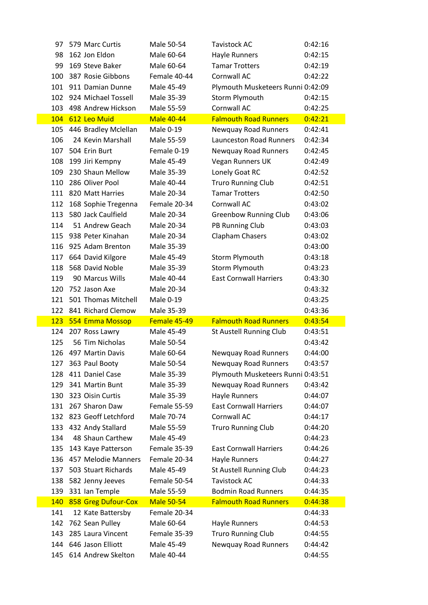| 97  | 579 Marc Curtis        | Male 50-54        | <b>Tavistock AC</b>               | 0:42:16 |
|-----|------------------------|-------------------|-----------------------------------|---------|
| 98  | 162 Jon Eldon          | Male 60-64        | Hayle Runners                     | 0:42:15 |
| 99  | 169 Steve Baker        | Male 60-64        | <b>Tamar Trotters</b>             | 0:42:19 |
| 100 | 387 Rosie Gibbons      | Female 40-44      | Cornwall AC                       | 0:42:22 |
| 101 | 911 Damian Dunne       | Male 45-49        | Plymouth Musketeers Runni 0:42:09 |         |
| 102 | 924 Michael Tossell    | Male 35-39        | Storm Plymouth                    | 0:42:15 |
| 103 | 498 Andrew Hickson     | Male 55-59        | Cornwall AC                       | 0:42:25 |
| 104 | 612 Leo Muid           | <b>Male 40-44</b> | <b>Falmouth Road Runners</b>      | 0:42:21 |
| 105 | 446 Bradley Mclellan   | Male 0-19         | Newquay Road Runners              | 0:42:41 |
| 106 | 24 Kevin Marshall      | Male 55-59        | <b>Launceston Road Runners</b>    | 0:42:34 |
| 107 | 504 Erin Burt          | Female 0-19       | Newquay Road Runners              | 0:42:45 |
| 108 | 199 Jiri Kempny        | Male 45-49        | Vegan Runners UK                  | 0:42:49 |
| 109 | 230 Shaun Mellow       | Male 35-39        | Lonely Goat RC                    | 0:42:52 |
| 110 | 286 Oliver Pool        | Male 40-44        | <b>Truro Running Club</b>         | 0:42:51 |
|     | 111 820 Matt Harries   | Male 20-34        | <b>Tamar Trotters</b>             | 0:42:50 |
| 112 | 168 Sophie Tregenna    | Female 20-34      | Cornwall AC                       | 0:43:02 |
| 113 | 580 Jack Caulfield     | Male 20-34        | <b>Greenbow Running Club</b>      | 0:43:06 |
| 114 | 51 Andrew Geach        | Male 20-34        | PB Running Club                   | 0:43:03 |
|     | 115 938 Peter Kinahan  | Male 20-34        | Clapham Chasers                   | 0:43:02 |
| 116 | 925 Adam Brenton       | Male 35-39        |                                   | 0:43:00 |
| 117 | 664 David Kilgore      | Male 45-49        | Storm Plymouth                    | 0:43:18 |
| 118 | 568 David Noble        | Male 35-39        | Storm Plymouth                    | 0:43:23 |
| 119 | 90 Marcus Wills        | Male 40-44        | <b>East Cornwall Harriers</b>     | 0:43:30 |
| 120 | 752 Jason Axe          | Male 20-34        |                                   | 0:43:32 |
| 121 | 501 Thomas Mitchell    | Male 0-19         |                                   | 0:43:25 |
|     | 122 841 Richard Clemow | Male 35-39        |                                   | 0:43:36 |
| 123 | 554 Emma Mossop        | Female 45-49      | <b>Falmouth Road Runners</b>      | 0:43:54 |
| 124 | 207 Ross Lawry         | Male 45-49        | St Austell Running Club           | 0:43:51 |
| 125 | 56 Tim Nicholas        | Male 50-54        |                                   | 0:43:42 |
| 126 | 497 Martin Davis       | Male 60-64        | <b>Newquay Road Runners</b>       | 0:44:00 |
|     | 127 363 Paul Booty     | Male 50-54        | Newquay Road Runners              | 0:43:57 |
| 128 | 411 Daniel Case        | Male 35-39        | Plymouth Musketeers Runni 0:43:51 |         |
| 129 | 341 Martin Bunt        | Male 35-39        | Newquay Road Runners              | 0:43:42 |
| 130 | 323 Oisin Curtis       | Male 35-39        | Hayle Runners                     | 0:44:07 |
| 131 | 267 Sharon Daw         | Female 55-59      | <b>East Cornwall Harriers</b>     | 0:44:07 |
| 132 | 823 Geoff Letchford    | Male 70-74        | Cornwall AC                       | 0:44:17 |
|     | 133 432 Andy Stallard  | Male 55-59        | <b>Truro Running Club</b>         | 0:44:20 |
| 134 | 48 Shaun Carthew       | Male 45-49        |                                   | 0:44:23 |
| 135 | 143 Kaye Patterson     | Female 35-39      | <b>East Cornwall Harriers</b>     | 0:44:26 |
| 136 | 457 Melodie Manners    | Female 20-34      | Hayle Runners                     | 0:44:27 |
| 137 | 503 Stuart Richards    | Male 45-49        | St Austell Running Club           | 0:44:23 |
| 138 | 582 Jenny Jeeves       | Female 50-54      | <b>Tavistock AC</b>               | 0:44:33 |
| 139 | 331 Ian Temple         | Male 55-59        | <b>Bodmin Road Runners</b>        | 0:44:35 |
| 140 | 858 Greg Dufour-Cox    | <b>Male 50-54</b> | <b>Falmouth Road Runners</b>      | 0:44:38 |
| 141 | 12 Kate Battersby      | Female 20-34      |                                   | 0:44:33 |
| 142 | 762 Sean Pulley        | Male 60-64        | Hayle Runners                     | 0:44:53 |
| 143 | 285 Laura Vincent      | Female 35-39      | <b>Truro Running Club</b>         | 0:44:55 |
| 144 | 646 Jason Elliott      | Male 45-49        | Newquay Road Runners              | 0:44:42 |
| 145 | 614 Andrew Skelton     | Male 40-44        |                                   | 0:44:55 |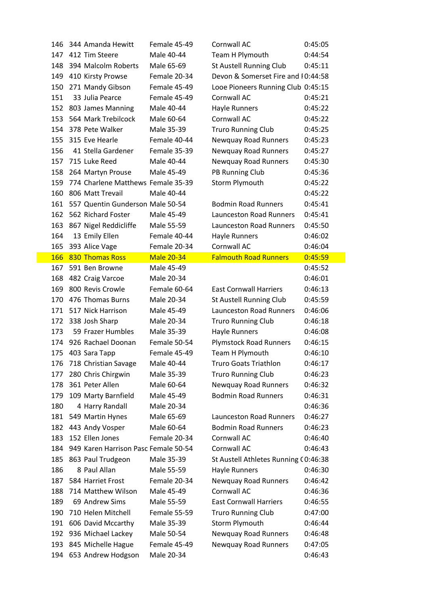| 146 | 344 Amanda Hewitt                    | Female 45-49      | Cornwall AC                          | 0:45:05 |
|-----|--------------------------------------|-------------------|--------------------------------------|---------|
| 147 | 412 Tim Steere                       | Male 40-44        | Team H Plymouth                      | 0:44:54 |
| 148 | 394 Malcolm Roberts                  | Male 65-69        | St Austell Running Club              | 0:45:11 |
| 149 | 410 Kirsty Prowse                    | Female 20-34      | Devon & Somerset Fire and I 0:44:58  |         |
| 150 | 271 Mandy Gibson                     | Female 45-49      | Looe Pioneers Running Club 0:45:15   |         |
| 151 | 33 Julia Pearce                      | Female 45-49      | Cornwall AC                          | 0:45:21 |
| 152 | 803 James Manning                    | Male 40-44        | Hayle Runners                        | 0:45:22 |
| 153 | 564 Mark Trebilcock                  | Male 60-64        | Cornwall AC                          | 0:45:22 |
| 154 | 378 Pete Walker                      | Male 35-39        | <b>Truro Running Club</b>            | 0:45:25 |
| 155 | 315 Eve Hearle                       | Female 40-44      | <b>Newquay Road Runners</b>          | 0:45:23 |
| 156 | 41 Stella Gardener                   | Female 35-39      | Newquay Road Runners                 | 0:45:27 |
| 157 | 715 Luke Reed                        | Male 40-44        | Newquay Road Runners                 | 0:45:30 |
| 158 | 264 Martyn Prouse                    | Male 45-49        | PB Running Club                      | 0:45:36 |
| 159 | 774 Charlene Matthews Female 35-39   |                   | Storm Plymouth                       | 0:45:22 |
| 160 | 806 Matt Trevail                     | Male 40-44        |                                      | 0:45:22 |
| 161 | 557 Quentin Gunderson Male 50-54     |                   | <b>Bodmin Road Runners</b>           | 0:45:41 |
| 162 | 562 Richard Foster                   | Male 45-49        | <b>Launceston Road Runners</b>       | 0:45:41 |
| 163 | 867 Nigel Reddicliffe                | Male 55-59        | <b>Launceston Road Runners</b>       | 0:45:50 |
| 164 | 13 Emily Ellen                       | Female 40-44      | Hayle Runners                        | 0:46:02 |
| 165 | 393 Alice Vage                       | Female 20-34      | Cornwall AC                          | 0:46:04 |
| 166 | 830 Thomas Ross                      | <b>Male 20-34</b> | <b>Falmouth Road Runners</b>         | 0:45:59 |
| 167 | 591 Ben Browne                       | Male 45-49        |                                      | 0:45:52 |
| 168 | 482 Craig Varcoe                     | Male 20-34        |                                      | 0:46:01 |
| 169 | 800 Revis Crowle                     | Female 60-64      | <b>East Cornwall Harriers</b>        | 0:46:13 |
| 170 | 476 Thomas Burns                     | Male 20-34        | St Austell Running Club              | 0:45:59 |
| 171 | 517 Nick Harrison                    | Male 45-49        | <b>Launceston Road Runners</b>       | 0:46:06 |
| 172 | 338 Josh Sharp                       | Male 20-34        | <b>Truro Running Club</b>            | 0:46:18 |
| 173 | 59 Frazer Humbles                    | Male 35-39        | <b>Hayle Runners</b>                 | 0:46:08 |
| 174 | 926 Rachael Doonan                   | Female 50-54      | <b>Plymstock Road Runners</b>        | 0:46:15 |
| 175 | 403 Sara Tapp                        | Female 45-49      | Team H Plymouth                      | 0:46:10 |
| 176 | 718 Christian Savage                 | Male 40-44        | <b>Truro Goats Triathlon</b>         | 0:46:17 |
| 177 | 280 Chris Chirgwin                   | Male 35-39        | <b>Truro Running Club</b>            | 0:46:23 |
| 178 | 361 Peter Allen                      | Male 60-64        | Newquay Road Runners                 | 0:46:32 |
| 179 | 109 Marty Barnfield                  | Male 45-49        | <b>Bodmin Road Runners</b>           | 0:46:31 |
| 180 | 4 Harry Randall                      | Male 20-34        |                                      | 0:46:36 |
| 181 | 549 Martin Hynes                     | Male 65-69        | <b>Launceston Road Runners</b>       | 0:46:27 |
| 182 | 443 Andy Vosper                      | Male 60-64        | <b>Bodmin Road Runners</b>           | 0:46:23 |
| 183 | 152 Ellen Jones                      | Female 20-34      | Cornwall AC                          | 0:46:40 |
| 184 | 949 Karen Harrison Pasc Female 50-54 |                   | Cornwall AC                          | 0:46:43 |
| 185 | 863 Paul Trudgeon                    | Male 35-39        | St Austell Athletes Running (0:46:38 |         |
| 186 | 8 Paul Allan                         | Male 55-59        | Hayle Runners                        | 0:46:30 |
| 187 | 584 Harriet Frost                    | Female 20-34      | <b>Newquay Road Runners</b>          | 0:46:42 |
| 188 | 714 Matthew Wilson                   | Male 45-49        | Cornwall AC                          | 0:46:36 |
| 189 | 69 Andrew Sims                       | Male 55-59        | <b>East Cornwall Harriers</b>        | 0:46:55 |
| 190 | 710 Helen Mitchell                   | Female 55-59      | <b>Truro Running Club</b>            | 0:47:00 |
| 191 | 606 David Mccarthy                   | Male 35-39        | Storm Plymouth                       | 0:46:44 |
| 192 | 936 Michael Lackey                   | Male 50-54        | Newquay Road Runners                 | 0:46:48 |
| 193 | 845 Michelle Hague                   | Female 45-49      | Newquay Road Runners                 | 0:47:05 |
| 194 | 653 Andrew Hodgson                   | Male 20-34        |                                      | 0:46:43 |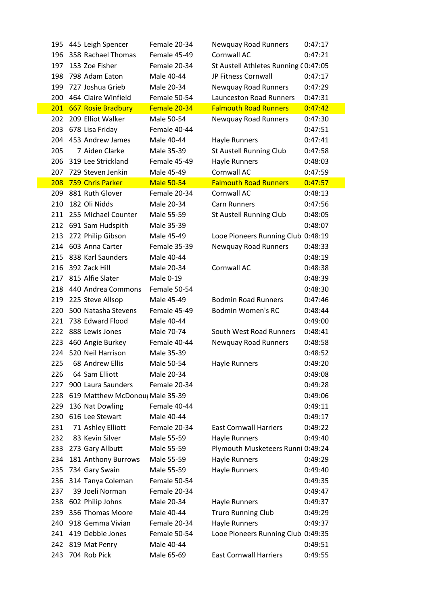|     |     | 195 445 Leigh Spencer           | Female 20-34      | Newquay Road Runners                 | 0:47:17 |
|-----|-----|---------------------------------|-------------------|--------------------------------------|---------|
| 196 |     | 358 Rachael Thomas              | Female 45-49      | Cornwall AC                          | 0:47:21 |
|     | 197 | 153 Zoe Fisher                  | Female 20-34      | St Austell Athletes Running (0:47:05 |         |
| 198 |     | 798 Adam Eaton                  | Male 40-44        | JP Fitness Cornwall                  | 0:47:17 |
|     | 199 | 727 Joshua Grieb                | Male 20-34        | Newquay Road Runners                 | 0:47:29 |
| 200 |     | 464 Claire Winfield             | Female 50-54      | <b>Launceston Road Runners</b>       | 0:47:31 |
|     | 201 | 667 Rosie Bradbury              | Female 20-34      | <b>Falmouth Road Runners</b>         | 0:47:42 |
| 202 |     | 209 Elliot Walker               | Male 50-54        | Newquay Road Runners                 | 0:47:30 |
| 203 |     | 678 Lisa Friday                 | Female 40-44      |                                      | 0:47:51 |
|     |     | 204 453 Andrew James            | Male 40-44        | Hayle Runners                        | 0:47:41 |
| 205 |     | 7 Aiden Clarke                  | Male 35-39        | St Austell Running Club              | 0:47:58 |
|     | 206 | 319 Lee Strickland              | Female 45-49      | Hayle Runners                        | 0:48:03 |
| 207 |     | 729 Steven Jenkin               | Male 45-49        | Cornwall AC                          | 0:47:59 |
| 208 |     | 759 Chris Parker                | <b>Male 50-54</b> | <b>Falmouth Road Runners</b>         | 0:47:57 |
|     | 209 | 881 Ruth Glover                 | Female 20-34      | Cornwall AC                          | 0:48:13 |
| 210 |     | 182 Oli Nidds                   | Male 20-34        | <b>Carn Runners</b>                  | 0:47:56 |
|     |     | 211 255 Michael Counter         | Male 55-59        | St Austell Running Club              | 0:48:05 |
|     |     | 212 691 Sam Hudspith            | Male 35-39        |                                      | 0:48:07 |
| 213 |     | 272 Philip Gibson               | Male 45-49        | Looe Pioneers Running Club 0:48:19   |         |
|     |     | 214 603 Anna Carter             | Female 35-39      | Newquay Road Runners                 | 0:48:33 |
|     | 215 | 838 Karl Saunders               | Male 40-44        |                                      | 0:48:19 |
|     | 216 | 392 Zack Hill                   | Male 20-34        | Cornwall AC                          | 0:48:38 |
|     |     | 217 815 Alfie Slater            | Male 0-19         |                                      | 0:48:39 |
|     |     | 218 440 Andrea Commons          | Female 50-54      |                                      | 0:48:30 |
|     |     | 219 225 Steve Allsop            | Male 45-49        | <b>Bodmin Road Runners</b>           | 0:47:46 |
|     | 220 | 500 Natasha Stevens             | Female 45-49      | <b>Bodmin Women's RC</b>             | 0:48:44 |
|     |     | 221 738 Edward Flood            | Male 40-44        |                                      | 0:49:00 |
|     |     | 222 888 Lewis Jones             | Male 70-74        | South West Road Runners              | 0:48:41 |
| 223 |     | 460 Angie Burkey                | Female 40-44      | Newquay Road Runners                 | 0:48:58 |
|     | 224 | 520 Neil Harrison               | Male 35-39        |                                      | 0:48:52 |
|     |     | 225 68 Andrew Ellis             | Male 50-54        | Hayle Runners                        | 0:49:20 |
| 226 |     | 64 Sam Elliott                  | Male 20-34        |                                      | 0:49:08 |
|     | 227 | 900 Laura Saunders              | Female 20-34      |                                      | 0:49:28 |
|     | 228 | 619 Matthew McDonou; Male 35-39 |                   |                                      | 0:49:06 |
| 229 |     | 136 Nat Dowling                 | Female 40-44      |                                      | 0:49:11 |
| 230 |     | 616 Lee Stewart                 | Male 40-44        |                                      | 0:49:17 |
| 231 |     | 71 Ashley Elliott               | Female 20-34      | <b>East Cornwall Harriers</b>        | 0:49:22 |
| 232 |     | 83 Kevin Silver                 | Male 55-59        | Hayle Runners                        | 0:49:40 |
|     |     | 233 273 Gary Allbutt            | Male 55-59        | Plymouth Musketeers Runni 0:49:24    |         |
| 234 |     | 181 Anthony Burrows             | Male 55-59        | Hayle Runners                        | 0:49:29 |
|     | 235 | 734 Gary Swain                  | Male 55-59        | Hayle Runners                        | 0:49:40 |
| 236 |     | 314 Tanya Coleman               | Female 50-54      |                                      | 0:49:35 |
| 237 |     | 39 Joeli Norman                 | Female 20-34      |                                      | 0:49:47 |
| 238 |     | 602 Philip Johns                | Male 20-34        | Hayle Runners                        | 0:49:37 |
| 239 |     | 356 Thomas Moore                | Male 40-44        | <b>Truro Running Club</b>            | 0:49:29 |
|     | 240 | 918 Gemma Vivian                | Female 20-34      | Hayle Runners                        | 0:49:37 |
|     |     | 241 419 Debbie Jones            | Female 50-54      | Looe Pioneers Running Club 0:49:35   |         |
|     | 242 | 819 Mat Penry                   | Male 40-44        |                                      | 0:49:51 |
| 243 |     | 704 Rob Pick                    | Male 65-69        | <b>East Cornwall Harriers</b>        | 0:49:55 |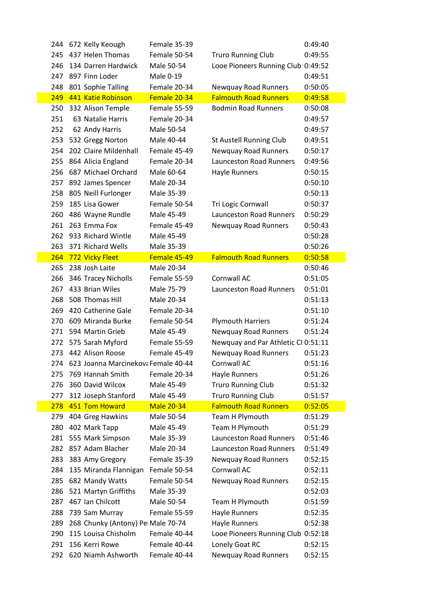|     | 244 672 Kelly Keough                    | Female 35-39      |                                     | 0:49:40 |
|-----|-----------------------------------------|-------------------|-------------------------------------|---------|
| 245 | 437 Helen Thomas                        | Female 50-54      | <b>Truro Running Club</b>           | 0:49:55 |
| 246 | 134 Darren Hardwick                     | Male 50-54        | Looe Pioneers Running Club 0:49:52  |         |
| 247 | 897 Finn Loder                          | Male 0-19         |                                     | 0:49:51 |
| 248 | 801 Sophie Talling                      | Female 20-34      | Newquay Road Runners                | 0:50:05 |
| 249 | 441 Katie Robinson                      | Female 20-34      | <b>Falmouth Road Runners</b>        | 0:49:58 |
| 250 | 332 Alison Temple                       | Female 55-59      | <b>Bodmin Road Runners</b>          | 0:50:08 |
| 251 | 63 Natalie Harris                       | Female 20-34      |                                     | 0:49:57 |
| 252 | 62 Andy Harris                          | Male 50-54        |                                     | 0:49:57 |
| 253 | 532 Gregg Norton                        | Male 40-44        | St Austell Running Club             | 0:49:51 |
| 254 | 202 Claire Mildenhall                   | Female 45-49      | Newquay Road Runners                | 0:50:17 |
| 255 | 864 Alicia England                      | Female 20-34      | <b>Launceston Road Runners</b>      | 0:49:56 |
| 256 | 687 Michael Orchard                     | Male 60-64        | Hayle Runners                       | 0:50:15 |
|     | 257 892 James Spencer                   | Male 20-34        |                                     | 0:50:10 |
| 258 | 805 Neill Furlonger                     | Male 35-39        |                                     | 0:50:13 |
| 259 | 185 Lisa Gower                          | Female 50-54      | Tri Logic Cornwall                  | 0:50:37 |
| 260 | 486 Wayne Rundle                        | Male 45-49        | <b>Launceston Road Runners</b>      | 0:50:29 |
|     | 261 263 Emma Fox                        | Female 45-49      | Newquay Road Runners                | 0:50:43 |
|     | 262 933 Richard Wintle                  | Male 45-49        |                                     | 0:50:28 |
| 263 | 371 Richard Wells                       | Male 35-39        |                                     | 0:50:26 |
| 264 | 772 Vicky Fleet                         | Female 45-49      | <b>Falmouth Road Runners</b>        | 0:50:58 |
| 265 | 238 Josh Laite                          | Male 20-34        |                                     | 0:50:46 |
| 266 | 346 Tracey Nicholls                     | Female 55-59      | Cornwall AC                         | 0:51:05 |
| 267 | 433 Brian Wiles                         | Male 75-79        | <b>Launceston Road Runners</b>      | 0:51:01 |
| 268 | 508 Thomas Hill                         | Male 20-34        |                                     | 0:51:13 |
| 269 | 420 Catherine Gale                      | Female 20-34      |                                     | 0:51:10 |
| 270 | 609 Miranda Burke                       | Female 50-54      | <b>Plymouth Harriers</b>            | 0:51:24 |
|     | 271 594 Martin Grieb                    | Male 45-49        | <b>Newquay Road Runners</b>         | 0:51:24 |
|     | 272 575 Sarah Myford                    | Female 55-59      | Newquay and Par Athletic Cl 0:51:11 |         |
|     | 273 442 Alison Roose                    | Female 45-49      | Newquay Road Runners                | 0:51:23 |
|     | 274 623 Joanna Marcinekova Female 40-44 |                   | Cornwall AC                         | 0:51:16 |
| 275 | 769 Hannah Smith                        | Female 20-34      | Hayle Runners                       | 0:51:26 |
| 276 | 360 David Wilcox                        | Male 45-49        | <b>Truro Running Club</b>           | 0:51:32 |
| 277 | 312 Joseph Stanford                     | Male 45-49        | <b>Truro Running Club</b>           | 0:51:57 |
| 278 | 451 Tom Howard                          | <b>Male 20-34</b> | <b>Falmouth Road Runners</b>        | 0:52:05 |
| 279 | 404 Greg Hawkins                        | Male 50-54        | Team H Plymouth                     | 0:51:29 |
| 280 | 402 Mark Tapp                           | Male 45-49        | Team H Plymouth                     | 0:51:29 |
| 281 | 555 Mark Simpson                        | Male 35-39        | <b>Launceston Road Runners</b>      | 0:51:46 |
|     | 282 857 Adam Blacher                    | Male 20-34        | <b>Launceston Road Runners</b>      | 0:51:49 |
| 283 | 383 Amy Gregory                         | Female 35-39      | Newquay Road Runners                | 0:52:15 |
| 284 | 135 Miranda Flannigan                   | Female 50-54      | Cornwall AC                         | 0:52:11 |
| 285 | 682 Mandy Watts                         | Female 50-54      | Newquay Road Runners                | 0:52:15 |
| 286 | 521 Martyn Griffiths                    | Male 35-39        |                                     | 0:52:03 |
| 287 | 467 Ian Chilcott                        | Male 50-54        | Team H Plymouth                     | 0:51:59 |
| 288 | 739 Sam Murray                          | Female 55-59      | <b>Hayle Runners</b>                | 0:52:35 |
| 289 | 268 Chunky (Antony) Pe Male 70-74       |                   | Hayle Runners                       | 0:52:38 |
| 290 | 115 Louisa Chisholm                     | Female 40-44      | Looe Pioneers Running Club 0:52:18  |         |
| 291 | 156 Kerri Rowe                          | Female 40-44      | Lonely Goat RC                      | 0:52:15 |
| 292 | 620 Niamh Ashworth                      | Female 40-44      | Newquay Road Runners                | 0:52:15 |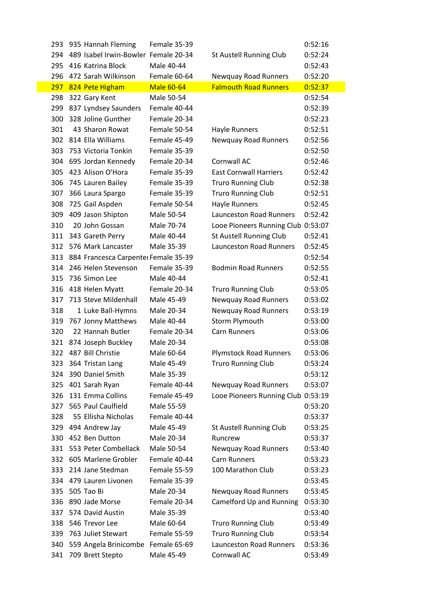| 293 | 935 Hannah Fleming                   | Female 35-39      |                                    | 0:52:16 |
|-----|--------------------------------------|-------------------|------------------------------------|---------|
| 294 | 489 Isabel Irwin-Bowler Female 20-34 |                   | St Austell Running Club            | 0:52:24 |
| 295 | 416 Katrina Block                    | Male 40-44        |                                    | 0:52:43 |
| 296 | 472 Sarah Wilkinson                  | Female 60-64      | <b>Newquay Road Runners</b>        | 0:52:20 |
|     | 297 824 Pete Higham                  | <b>Male 60-64</b> | <b>Falmouth Road Runners</b>       | 0:52:37 |
| 298 | 322 Gary Kent                        | Male 50-54        |                                    | 0:52:54 |
| 299 | 837 Lyndsey Saunders                 | Female 40-44      |                                    | 0:52:39 |
| 300 | 328 Joline Gunther                   | Female 20-34      |                                    | 0:52:23 |
| 301 | 43 Sharon Rowat                      | Female 50-54      | Hayle Runners                      | 0:52:51 |
|     | 302 814 Ella Williams                | Female 45-49      | <b>Newquay Road Runners</b>        | 0:52:56 |
| 303 | 753 Victoria Tonkin                  | Female 35-39      |                                    | 0:52:50 |
| 304 | 695 Jordan Kennedy                   | Female 20-34      | Cornwall AC                        | 0:52:46 |
| 305 | 423 Alison O'Hora                    | Female 35-39      | <b>East Cornwall Harriers</b>      | 0:52:42 |
| 306 | 745 Lauren Bailey                    | Female 35-39      | <b>Truro Running Club</b>          | 0:52:38 |
| 307 | 366 Laura Spargo                     | Female 35-39      | <b>Truro Running Club</b>          | 0:52:51 |
| 308 | 725 Gail Aspden                      | Female 50-54      | <b>Hayle Runners</b>               | 0:52:45 |
| 309 | 409 Jason Shipton                    | Male 50-54        | <b>Launceston Road Runners</b>     | 0:52:42 |
| 310 | 20 John Gossan                       | Male 70-74        | Looe Pioneers Running Club 0:53:07 |         |
|     | 311 343 Gareth Perry                 | Male 40-44        | St Austell Running Club            | 0:52:41 |
|     | 312 576 Mark Lancaster               | Male 35-39        | <b>Launceston Road Runners</b>     | 0:52:45 |
| 313 | 884 Francesca Carpenter Female 35-39 |                   |                                    | 0:52:54 |
| 314 | 246 Helen Stevenson                  | Female 35-39      | <b>Bodmin Road Runners</b>         | 0:52:55 |
| 315 | 736 Simon Lee                        | Male 40-44        |                                    | 0:52:41 |
| 316 | 418 Helen Myatt                      | Female 20-34      | <b>Truro Running Club</b>          | 0:53:05 |
| 317 | 713 Steve Mildenhall                 | Male 45-49        | <b>Newquay Road Runners</b>        | 0:53:02 |
| 318 | 1 Luke Ball-Hymns                    | Male 20-34        | Newquay Road Runners               | 0:53:19 |
| 319 | 767 Jonny Matthews                   | Male 40-44        | Storm Plymouth                     | 0:53:00 |
| 320 | 22 Hannah Butler                     | Female 20-34      | <b>Carn Runners</b>                | 0:53:06 |
| 321 | 874 Joseph Buckley                   | Male 20-34        |                                    | 0:53:08 |
| 322 | 487 Bill Christie                    | Male 60-64        | <b>Plymstock Road Runners</b>      | 0:53:06 |
| 323 | 364 Tristan Lang                     | Male 45-49        | <b>Truro Running Club</b>          | 0:53:24 |
| 324 | 390 Daniel Smith                     | Male 35-39        |                                    | 0:53:12 |
| 325 | 401 Sarah Ryan                       | Female 40-44      | Newquay Road Runners               | 0:53:07 |
| 326 | 131 Emma Collins                     | Female 45-49      | Looe Pioneers Running Club 0:53:19 |         |
| 327 | 565 Paul Caulfield                   | Male 55-59        |                                    | 0:53:20 |
| 328 | 55 Ellisha Nicholas                  | Female 40-44      |                                    | 0:53:37 |
| 329 | 494 Andrew Jay                       | Male 45-49        | St Austell Running Club            | 0:53:25 |
| 330 | 452 Ben Dutton                       | Male 20-34        | Runcrew                            | 0:53:37 |
| 331 | 553 Peter Combellack                 | Male 50-54        | Newquay Road Runners               | 0:53:40 |
| 332 | 605 Marlene Grobler                  | Female 40-44      | <b>Carn Runners</b>                | 0:53:23 |
| 333 | 214 Jane Stedman                     | Female 55-59      | 100 Marathon Club                  | 0:53:23 |
| 334 | 479 Lauren Livonen                   | Female 35-39      |                                    | 0:53:45 |
| 335 | 505 Tao Bi                           | Male 20-34        | Newquay Road Runners               | 0:53:45 |
| 336 | 890 Jade Morse                       | Female 20-34      | Camelford Up and Running           | 0:53:30 |
| 337 | 574 David Austin                     | Male 35-39        |                                    | 0:53:40 |
| 338 | 546 Trevor Lee                       | Male 60-64        | <b>Truro Running Club</b>          | 0:53:49 |
| 339 | 763 Juliet Stewart                   | Female 55-59      | <b>Truro Running Club</b>          | 0:53:54 |
| 340 | 559 Angela Brinicombe Female 65-69   |                   | <b>Launceston Road Runners</b>     | 0:53:36 |
| 341 | 709 Brett Stepto                     | Male 45-49        | Cornwall AC                        | 0:53:49 |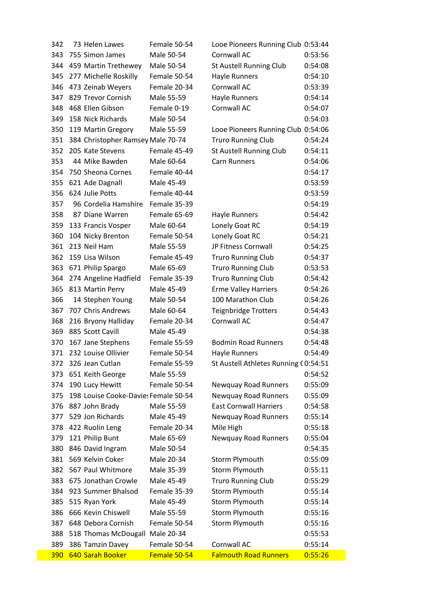| 342 | 73 Helen Lawes                       | Female 50-54 | Looe Pioneers Running Club 0:53:44   |         |
|-----|--------------------------------------|--------------|--------------------------------------|---------|
| 343 | 755 Simon James                      | Male 50-54   | Cornwall AC                          | 0:53:56 |
| 344 | 459 Martin Trethewey                 | Male 50-54   | St Austell Running Club              | 0:54:08 |
| 345 | 277 Michelle Roskilly                | Female 50-54 | Hayle Runners                        | 0:54:10 |
| 346 | 473 Zeinab Weyers                    | Female 20-34 | <b>Cornwall AC</b>                   | 0:53:39 |
| 347 | 829 Trevor Cornish                   | Male 55-59   | Hayle Runners                        | 0:54:14 |
| 348 | 468 Ellen Gibson                     | Female 0-19  | Cornwall AC                          | 0:54:07 |
| 349 | 158 Nick Richards                    | Male 50-54   |                                      | 0:54:03 |
| 350 | 119 Martin Gregory                   | Male 55-59   | Looe Pioneers Running Club 0:54:06   |         |
| 351 | 384 Christopher Ramsey Male 70-74    |              | <b>Truro Running Club</b>            | 0:54:24 |
| 352 | 205 Kate Stevens                     | Female 45-49 | St Austell Running Club              | 0:54:11 |
| 353 | 44 Mike Bawden                       | Male 60-64   | Carn Runners                         | 0:54:06 |
| 354 | 750 Sheona Cornes                    | Female 40-44 |                                      | 0:54:17 |
| 355 | 621 Ade Dagnall                      | Male 45-49   |                                      | 0:53:59 |
| 356 | 624 Julie Potts                      | Female 40-44 |                                      | 0:53:59 |
| 357 | 96 Cordelia Hamshire                 | Female 35-39 |                                      | 0:54:19 |
| 358 | 87 Diane Warren                      | Female 65-69 | Hayle Runners                        | 0:54:42 |
| 359 | 133 Francis Vosper                   | Male 60-64   | Lonely Goat RC                       | 0:54:19 |
| 360 | 104 Nicky Brenton                    | Female 50-54 | Lonely Goat RC                       | 0:54:21 |
| 361 | 213 Neil Ham                         | Male 55-59   | JP Fitness Cornwall                  | 0:54:25 |
| 362 | 159 Lisa Wilson                      | Female 45-49 | <b>Truro Running Club</b>            | 0:54:37 |
| 363 | 671 Philip Spargo                    | Male 65-69   | <b>Truro Running Club</b>            | 0:53:53 |
| 364 | 274 Angeline Hadfield                | Female 35-39 | <b>Truro Running Club</b>            | 0:54:42 |
| 365 | 813 Martin Perry                     | Male 45-49   | <b>Erme Valley Harriers</b>          | 0:54:26 |
| 366 | 14 Stephen Young                     | Male 50-54   | 100 Marathon Club                    | 0:54:26 |
| 367 | 707 Chris Andrews                    | Male 60-64   | <b>Teignbridge Trotters</b>          | 0:54:43 |
| 368 | 216 Bryony Halliday                  | Female 20-34 | Cornwall AC                          | 0:54:47 |
| 369 | 885 Scott Cavill                     | Male 45-49   |                                      | 0:54:38 |
| 370 | 167 Jane Stephens                    | Female 55-59 | <b>Bodmin Road Runners</b>           | 0:54:48 |
| 371 | 232 Louise Ollivier                  | Female 50-54 | Hayle Runners                        | 0:54:49 |
| 372 | 326 Jean Cutlan                      | Female 55-59 | St Austell Athletes Running (0:54:51 |         |
| 373 | 651 Keith George                     | Male 55-59   |                                      | 0:54:52 |
| 374 | 190 Lucy Hewitt                      | Female 50-54 | <b>Newquay Road Runners</b>          | 0:55:09 |
| 375 | 198 Louise Cooke-Davie: Female 50-54 |              | <b>Newquay Road Runners</b>          | 0:55:09 |
| 376 | 887 John Brady                       | Male 55-59   | <b>East Cornwall Harriers</b>        | 0:54:58 |
| 377 | 529 Jon Richards                     | Male 45-49   | Newquay Road Runners                 | 0:55:14 |
| 378 | 422 Ruolin Leng                      | Female 20-34 | Mile High                            | 0:55:18 |
| 379 | 121 Philip Bunt                      | Male 65-69   | Newquay Road Runners                 | 0:55:04 |
| 380 | 846 David Ingram                     | Male 50-54   |                                      | 0:54:35 |
| 381 | 569 Kelvin Coker                     | Male 20-34   | Storm Plymouth                       | 0:55:09 |
| 382 | 567 Paul Whitmore                    | Male 35-39   | Storm Plymouth                       | 0:55:11 |
| 383 | 675 Jonathan Crowle                  | Male 45-49   | <b>Truro Running Club</b>            | 0:55:29 |
| 384 | 923 Summer Bhalsod                   | Female 35-39 | Storm Plymouth                       | 0:55:14 |
| 385 | 515 Ryan York                        | Male 45-49   | Storm Plymouth                       | 0:55:14 |
| 386 | 666 Kevin Chiswell                   | Male 55-59   | Storm Plymouth                       | 0:55:16 |
| 387 | 648 Debora Cornish                   | Female 50-54 | Storm Plymouth                       | 0:55:16 |
| 388 | 518 Thomas McDougall Male 20-34      |              |                                      | 0:55:53 |
| 389 | 386 Tamzin Davey                     | Female 50-54 | Cornwall AC                          | 0:55:14 |
| 390 | 640 Sarah Booker                     | Female 50-54 | <b>Falmouth Road Runners</b>         | 0:55:26 |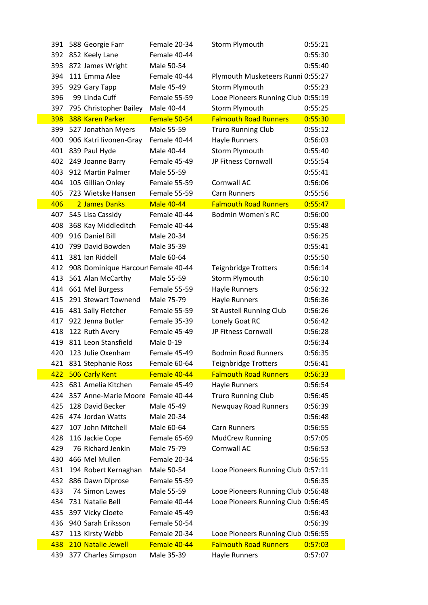| 391        | 588 Georgie Farr                        | Female 20-34      | Storm Plymouth                     | 0:55:21 |
|------------|-----------------------------------------|-------------------|------------------------------------|---------|
|            | 392 852 Keely Lane                      | Female 40-44      |                                    | 0:55:30 |
| 393        | 872 James Wright                        | Male 50-54        |                                    | 0:55:40 |
| 394        | 111 Emma Alee                           | Female 40-44      | Plymouth Musketeers Runni 0:55:27  |         |
| 395        | 929 Gary Tapp                           | Male 45-49        | Storm Plymouth                     | 0:55:23 |
| 396        | 99 Linda Cuff                           | Female 55-59      | Looe Pioneers Running Club 0:55:19 |         |
|            | 397 795 Christopher Bailey Male 40-44   |                   | Storm Plymouth                     | 0:55:25 |
| 398        | 388 Karen Parker                        | Female 50-54      | <b>Falmouth Road Runners</b>       | 0:55:30 |
|            | 399 527 Jonathan Myers                  | Male 55-59        | <b>Truro Running Club</b>          | 0:55:12 |
| 400        | 906 Katri livonen-Gray                  | Female 40-44      | <b>Hayle Runners</b>               | 0:56:03 |
|            | 401 839 Paul Hyde                       | Male 40-44        | Storm Plymouth                     | 0:55:40 |
| 402        | 249 Joanne Barry                        | Female 45-49      | JP Fitness Cornwall                | 0:55:54 |
| 403        | 912 Martin Palmer                       | Male 55-59        |                                    | 0:55:41 |
| 404        | 105 Gillian Onley                       | Female 55-59      | Cornwall AC                        | 0:56:06 |
| 405        | 723 Wietske Hansen                      | Female 55-59      | <b>Carn Runners</b>                | 0:55:56 |
| 406        | 2 James Danks                           | <b>Male 40-44</b> | <b>Falmouth Road Runners</b>       | 0:55:47 |
| 407        | 545 Lisa Cassidy                        | Female 40-44      | <b>Bodmin Women's RC</b>           | 0:56:00 |
|            | 408 368 Kay Middleditch                 | Female 40-44      |                                    | 0:55:48 |
| 409        | 916 Daniel Bill                         | Male 20-34        |                                    | 0:56:25 |
| 410        | 799 David Bowden                        | Male 35-39        |                                    | 0:55:41 |
|            | 411 381 Ian Riddell                     | Male 60-64        |                                    | 0:55:50 |
|            | 412 908 Dominique Harcourl Female 40-44 |                   | <b>Teignbridge Trotters</b>        | 0:56:14 |
|            | 413 561 Alan McCarthy                   | Male 55-59        | Storm Plymouth                     | 0:56:10 |
|            | 414 661 Mel Burgess                     | Female 55-59      | Hayle Runners                      | 0:56:32 |
| 415        | 291 Stewart Townend                     | Male 75-79        | Hayle Runners                      | 0:56:36 |
|            | 416 481 Sally Fletcher                  | Female 55-59      | St Austell Running Club            | 0:56:26 |
|            | 417 922 Jenna Butler                    | Female 35-39      | Lonely Goat RC                     | 0:56:42 |
|            | 418 122 Ruth Avery                      | Female 45-49      | JP Fitness Cornwall                | 0:56:28 |
|            | 419 811 Leon Stansfield                 | Male 0-19         |                                    | 0:56:34 |
| 420        | 123 Julie Oxenham                       | Female 45-49      | <b>Bodmin Road Runners</b>         | 0:56:35 |
|            | 421 831 Stephanie Ross                  | Female 60-64      | <b>Teignbridge Trotters</b>        | 0:56:41 |
| 422        | 506 Carly Kent                          | Female 40-44      | <b>Falmouth Road Runners</b>       | 0:56:33 |
| 423        | 681 Amelia Kitchen                      | Female 45-49      | Hayle Runners                      | 0:56:54 |
| 424        | 357 Anne-Marie Moore Female 40-44       |                   | <b>Truro Running Club</b>          | 0:56:45 |
| 425        | 128 David Becker                        | Male 45-49        | <b>Newquay Road Runners</b>        | 0:56:39 |
| 426        | 474 Jordan Watts                        | Male 20-34        |                                    | 0:56:48 |
| 427        | 107 John Mitchell                       | Male 60-64        | <b>Carn Runners</b>                | 0:56:55 |
| 428        | 116 Jackie Cope                         | Female 65-69      | <b>MudCrew Running</b>             | 0:57:05 |
| 429        | 76 Richard Jenkin                       | Male 75-79        | Cornwall AC                        | 0:56:53 |
| 430        | 466 Mel Mullen                          | Female 20-34      |                                    | 0:56:55 |
| 431        | 194 Robert Kernaghan                    | Male 50-54        | Looe Pioneers Running Club 0:57:11 |         |
| 432        | 886 Dawn Diprose                        | Female 55-59      |                                    | 0:56:35 |
| 433        | 74 Simon Lawes                          | Male 55-59        | Looe Pioneers Running Club 0:56:48 |         |
| 434        | 731 Natalie Bell                        | Female 40-44      | Looe Pioneers Running Club 0:56:45 |         |
| 435        | 397 Vicky Cloete                        | Female 45-49      |                                    | 0:56:43 |
| 436        | 940 Sarah Eriksson                      | Female 50-54      |                                    | 0:56:39 |
| 437        | 113 Kirsty Webb                         | Female 20-34      | Looe Pioneers Running Club 0:56:55 |         |
| 438<br>439 | 210 Natalie Jewell                      | Female 40-44      | <b>Falmouth Road Runners</b>       | 0:57:03 |
|            | 377 Charles Simpson                     | Male 35-39        | Hayle Runners                      | 0:57:07 |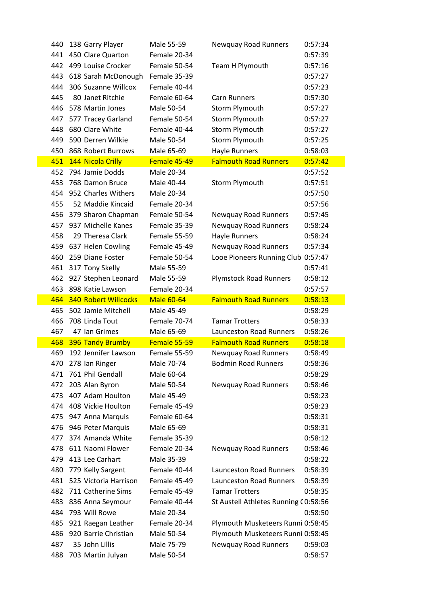| 440        | 138 Garry Player                    | Male 55-59               | Newquay Road Runners                 | 0:57:34            |
|------------|-------------------------------------|--------------------------|--------------------------------------|--------------------|
| 441        | 450 Clare Quarton                   | Female 20-34             |                                      | 0:57:39            |
|            | 442 499 Louise Crocker              | Female 50-54             | Team H Plymouth                      | 0:57:16            |
| 443        | 618 Sarah McDonough                 | Female 35-39             |                                      | 0:57:27            |
| 444        | 306 Suzanne Willcox                 | Female 40-44             |                                      | 0:57:23            |
| 445        | 80 Janet Ritchie                    | Female 60-64             | <b>Carn Runners</b>                  | 0:57:30            |
| 446        | 578 Martin Jones                    | Male 50-54               | Storm Plymouth                       | 0:57:27            |
| 447        | 577 Tracey Garland                  | Female 50-54             | Storm Plymouth                       | 0:57:27            |
| 448        | 680 Clare White                     | Female 40-44             | Storm Plymouth                       | 0:57:27            |
| 449        | 590 Derren Wilkie                   | Male 50-54               | Storm Plymouth                       | 0:57:25            |
| 450        | 868 Robert Burrows                  | Male 65-69               | <b>Hayle Runners</b>                 | 0:58:03            |
| 451        | 144 Nicola Crilly                   | Female 45-49             | <b>Falmouth Road Runners</b>         | 0:57:42            |
| 452        | 794 Jamie Dodds                     | Male 20-34               |                                      | 0:57:52            |
| 453        | 768 Damon Bruce                     | Male 40-44               | Storm Plymouth                       | 0:57:51            |
| 454        | 952 Charles Withers                 | Male 20-34               |                                      | 0:57:50            |
| 455        | 52 Maddie Kincaid                   | Female 20-34             |                                      | 0:57:56            |
| 456        | 379 Sharon Chapman                  | Female 50-54             | <b>Newquay Road Runners</b>          | 0:57:45            |
| 457        | 937 Michelle Kanes                  | Female 35-39             | <b>Newquay Road Runners</b>          | 0:58:24            |
| 458        | 29 Theresa Clark                    | Female 55-59             | Hayle Runners                        | 0:58:24            |
| 459        | 637 Helen Cowling                   | Female 45-49             | Newquay Road Runners                 | 0:57:34            |
| 460        | 259 Diane Foster                    | Female 50-54             | Looe Pioneers Running Club           | 0:57:47            |
| 461        | 317 Tony Skelly                     | Male 55-59               |                                      | 0:57:41            |
| 462        | 927 Stephen Leonard                 | Male 55-59               | <b>Plymstock Road Runners</b>        | 0:58:12            |
| 463        | 898 Katie Lawson                    | Female 20-34             |                                      | 0:57:57            |
| 464        | <b>340 Robert Willcocks</b>         | <b>Male 60-64</b>        | <b>Falmouth Road Runners</b>         | 0:58:13            |
| 465        | 502 Jamie Mitchell                  | Male 45-49               |                                      | 0:58:29            |
| 466        | 708 Linda Tout                      | Female 70-74             | <b>Tamar Trotters</b>                | 0:58:33            |
| 467        | 47 Ian Grimes                       | Male 65-69               | <b>Launceston Road Runners</b>       | 0:58:26            |
| 468        | <b>396 Tandy Brumby</b>             | Female 55-59             | <b>Falmouth Road Runners</b>         | 0:58:18            |
| 469        | 192 Jennifer Lawson                 | Female 55-59             | <b>Newquay Road Runners</b>          | 0:58:49            |
| 470        | 278 Ian Ringer                      | Male 70-74               | <b>Bodmin Road Runners</b>           | 0:58:36            |
| 471        | 761 Phil Gendall                    | Male 60-64               |                                      | 0:58:29            |
| 472        | 203 Alan Byron                      | Male 50-54               | <b>Newquay Road Runners</b>          | 0:58:46            |
| 473        | 407 Adam Houlton                    | Male 45-49               |                                      | 0:58:23            |
|            | 474 408 Vickie Houlton              | Female 45-49             |                                      | 0:58:23            |
| 475        | 947 Anna Marquis                    | Female 60-64             |                                      | 0:58:31            |
| 476        | 946 Peter Marquis                   | Male 65-69               |                                      | 0:58:31            |
|            | 477 374 Amanda White                | Female 35-39             |                                      | 0:58:12            |
| 478        | 611 Naomi Flower                    | Female 20-34             | <b>Newquay Road Runners</b>          | 0:58:46            |
| 479        | 413 Lee Carhart                     | Male 35-39               |                                      | 0:58:22            |
| 480        | 779 Kelly Sargent                   | Female 40-44             | <b>Launceston Road Runners</b>       | 0:58:39            |
| 481        | 525 Victoria Harrison               | Female 45-49             | Launceston Road Runners              | 0:58:39            |
| 482        | 711 Catherine Sims                  | Female 45-49             | <b>Tamar Trotters</b>                | 0:58:35            |
| 483        | 836 Anna Seymour                    | Female 40-44             | St Austell Athletes Running (0:58:56 |                    |
| 484        | 793 Will Rowe                       | Male 20-34               |                                      | 0:58:50            |
| 485        | 921 Raegan Leather                  | Female 20-34             | Plymouth Musketeers Runni 0:58:45    |                    |
| 486        | 920 Barrie Christian                | Male 50-54               | Plymouth Musketeers Runni 0:58:45    |                    |
|            |                                     |                          |                                      |                    |
| 487<br>488 | 35 John Lillis<br>703 Martin Julyan | Male 75-79<br>Male 50-54 | Newquay Road Runners                 | 0:59:03<br>0:58:57 |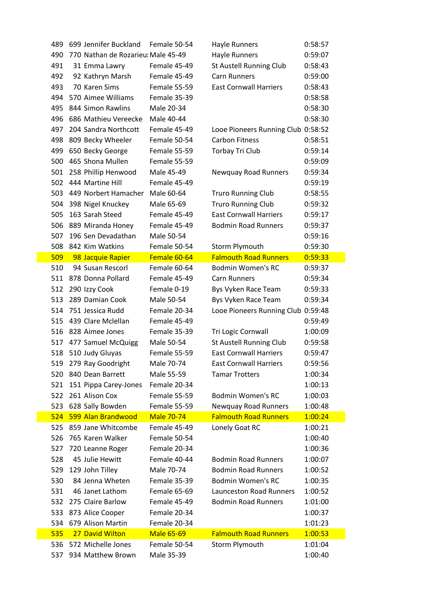| 489 | 699 Jennifer Buckland              | Female 50-54      | Hayle Runners                      | 0:58:57 |
|-----|------------------------------------|-------------------|------------------------------------|---------|
| 490 | 770 Nathan de Rozarieu: Male 45-49 |                   | Hayle Runners                      | 0:59:07 |
| 491 | 31 Emma Lawry                      | Female 45-49      | St Austell Running Club            | 0:58:43 |
| 492 | 92 Kathryn Marsh                   | Female 45-49      | <b>Carn Runners</b>                | 0:59:00 |
| 493 | 70 Karen Sims                      | Female 55-59      | <b>East Cornwall Harriers</b>      | 0:58:43 |
| 494 | 570 Aimee Williams                 | Female 35-39      |                                    | 0:58:58 |
| 495 | 844 Simon Rawlins                  | Male 20-34        |                                    | 0:58:30 |
| 496 | 686 Mathieu Vereecke               | Male 40-44        |                                    | 0:58:30 |
| 497 | 204 Sandra Northcott               | Female 45-49      | Looe Pioneers Running Club 0:58:52 |         |
| 498 | 809 Becky Wheeler                  | Female 50-54      | <b>Carbon Fitness</b>              | 0:58:51 |
| 499 | 650 Becky George                   | Female 55-59      | Torbay Tri Club                    | 0:59:14 |
| 500 | 465 Shona Mullen                   | Female 55-59      |                                    | 0:59:09 |
| 501 | 258 Phillip Henwood                | Male 45-49        | Newquay Road Runners               | 0:59:34 |
| 502 | 444 Martine Hill                   | Female 45-49      |                                    | 0:59:19 |
| 503 | 449 Norbert Hamacher               | Male 60-64        | <b>Truro Running Club</b>          | 0:58:55 |
| 504 | 398 Nigel Knuckey                  | Male 65-69        | <b>Truro Running Club</b>          | 0:59:32 |
| 505 | 163 Sarah Steed                    | Female 45-49      | <b>East Cornwall Harriers</b>      | 0:59:17 |
| 506 | 889 Miranda Honey                  | Female 45-49      | <b>Bodmin Road Runners</b>         | 0:59:37 |
| 507 | 196 Sen Devadathan                 | Male 50-54        |                                    | 0:59:16 |
| 508 | 842 Kim Watkins                    | Female 50-54      | Storm Plymouth                     | 0:59:30 |
| 509 | 98 Jacquie Rapier                  | Female 60-64      | <b>Falmouth Road Runners</b>       | 0:59:33 |
| 510 | 94 Susan Rescorl                   | Female 60-64      | <b>Bodmin Women's RC</b>           | 0:59:37 |
|     | 511 878 Donna Pollard              | Female 45-49      | <b>Carn Runners</b>                | 0:59:34 |
| 512 | 290 Izzy Cook                      | Female 0-19       | Bys Vyken Race Team                | 0:59:33 |
| 513 | 289 Damian Cook                    | Male 50-54        | Bys Vyken Race Team                | 0:59:34 |
| 514 | 751 Jessica Rudd                   | Female 20-34      | Looe Pioneers Running Club 0:59:48 |         |
| 515 | 439 Clare Mclellan                 | Female 45-49      |                                    | 0:59:49 |
|     | 516 828 Aimee Jones                | Female 35-39      | Tri Logic Cornwall                 | 1:00:09 |
| 517 | 477 Samuel McQuigg                 | Male 50-54        | St Austell Running Club            | 0:59:58 |
|     | 518 510 Judy Gluyas                | Female 55-59      | <b>East Cornwall Harriers</b>      | 0:59:47 |
| 519 | 279 Ray Goodright                  | Male 70-74        | <b>East Cornwall Harriers</b>      | 0:59:56 |
| 520 | 840 Dean Barrett                   | Male 55-59        | <b>Tamar Trotters</b>              | 1:00:34 |
| 521 | 151 Pippa Carey-Jones              | Female 20-34      |                                    | 1:00:13 |
| 522 | 261 Alison Cox                     | Female 55-59      | <b>Bodmin Women's RC</b>           | 1:00:03 |
| 523 | 628 Sally Bowden                   | Female 55-59      | Newquay Road Runners               | 1:00:48 |
| 524 | 599 Alan Brandwood                 | <b>Male 70-74</b> | <b>Falmouth Road Runners</b>       | 1:00:24 |
| 525 | 859 Jane Whitcombe                 | Female 45-49      | Lonely Goat RC                     | 1:00:21 |
| 526 | 765 Karen Walker                   | Female 50-54      |                                    | 1:00:40 |
| 527 | 720 Leanne Roger                   | Female 20-34      |                                    | 1:00:36 |
| 528 | 45 Julie Hewitt                    | Female 40-44      | <b>Bodmin Road Runners</b>         | 1:00:07 |
| 529 | 129 John Tilley                    | Male 70-74        | <b>Bodmin Road Runners</b>         | 1:00:52 |
| 530 | 84 Jenna Wheten                    | Female 35-39      | <b>Bodmin Women's RC</b>           | 1:00:35 |
| 531 | 46 Janet Lathom                    | Female 65-69      | <b>Launceston Road Runners</b>     | 1:00:52 |
| 532 | 275 Claire Barlow                  | Female 45-49      | <b>Bodmin Road Runners</b>         | 1:01:00 |
| 533 | 873 Alice Cooper                   | Female 20-34      |                                    | 1:00:37 |
| 534 | 679 Alison Martin                  | Female 20-34      |                                    | 1:01:23 |
| 535 | 27 David Wilton                    | <b>Male 65-69</b> | <b>Falmouth Road Runners</b>       | 1:00:53 |
| 536 | 572 Michelle Jones                 | Female 50-54      | Storm Plymouth                     | 1:01:04 |
| 537 | 934 Matthew Brown                  | Male 35-39        |                                    | 1:00:40 |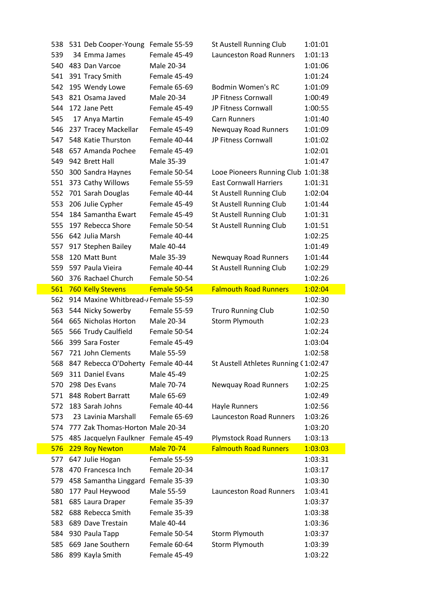| 538 | 531 Deb Cooper-Young Female 55-59   |                   | St Austell Running Club              | 1:01:01 |
|-----|-------------------------------------|-------------------|--------------------------------------|---------|
| 539 | 34 Emma James                       | Female 45-49      | <b>Launceston Road Runners</b>       | 1:01:13 |
| 540 | 483 Dan Varcoe                      | Male 20-34        |                                      | 1:01:06 |
| 541 | 391 Tracy Smith                     | Female 45-49      |                                      | 1:01:24 |
|     | 542 195 Wendy Lowe                  | Female 65-69      | <b>Bodmin Women's RC</b>             | 1:01:09 |
| 543 | 821 Osama Javed                     | Male 20-34        | JP Fitness Cornwall                  | 1:00:49 |
| 544 | 172 Jane Pett                       | Female 45-49      | JP Fitness Cornwall                  | 1:00:55 |
| 545 | 17 Anya Martin                      | Female 45-49      | <b>Carn Runners</b>                  | 1:01:40 |
| 546 | 237 Tracey Mackellar                | Female 45-49      | Newquay Road Runners                 | 1:01:09 |
|     | 547 548 Katie Thurston              | Female 40-44      | JP Fitness Cornwall                  | 1:01:02 |
| 548 | 657 Amanda Pochee                   | Female 45-49      |                                      | 1:02:01 |
| 549 | 942 Brett Hall                      | Male 35-39        |                                      | 1:01:47 |
| 550 | 300 Sandra Haynes                   | Female 50-54      | Looe Pioneers Running Club 1:01:38   |         |
| 551 | 373 Cathy Willows                   | Female 55-59      | <b>East Cornwall Harriers</b>        | 1:01:31 |
| 552 | 701 Sarah Douglas                   | Female 40-44      | St Austell Running Club              | 1:02:04 |
| 553 | 206 Julie Cypher                    | Female 45-49      | St Austell Running Club              | 1:01:44 |
| 554 | 184 Samantha Ewart                  | Female 45-49      | St Austell Running Club              | 1:01:31 |
| 555 | 197 Rebecca Shore                   | Female 50-54      | St Austell Running Club              | 1:01:51 |
|     | 556 642 Julia Marsh                 | Female 40-44      |                                      | 1:02:25 |
| 557 | 917 Stephen Bailey                  | Male 40-44        |                                      | 1:01:49 |
| 558 | 120 Matt Bunt                       | Male 35-39        | Newquay Road Runners                 | 1:01:44 |
| 559 | 597 Paula Vieira                    | Female 40-44      | St Austell Running Club              | 1:02:29 |
| 560 | 376 Rachael Church                  | Female 50-54      |                                      | 1:02:26 |
| 561 | 760 Kelly Stevens                   | Female 50-54      | <b>Falmouth Road Runners</b>         | 1:02:04 |
| 562 | 914 Maxine Whitbread-/Female 55-59  |                   |                                      | 1:02:30 |
|     | 563 544 Nicky Sowerby               | Female 55-59      | <b>Truro Running Club</b>            | 1:02:50 |
| 564 | 665 Nicholas Horton                 | Male 20-34        | Storm Plymouth                       | 1:02:23 |
| 565 | 566 Trudy Caulfield                 | Female 50-54      |                                      | 1:02:24 |
| 566 | 399 Sara Foster                     | Female 45-49      |                                      | 1:03:04 |
|     | 567 721 John Clements               | Male 55-59        |                                      | 1:02:58 |
| 568 | 847 Rebecca O'Doherty Female 40-44  |                   | St Austell Athletes Running (1:02:47 |         |
| 569 | 311 Daniel Evans                    | Male 45-49        |                                      | 1:02:25 |
| 570 | 298 Des Evans                       | Male 70-74        | Newquay Road Runners                 | 1:02:25 |
|     | 571 848 Robert Barratt              | Male 65-69        |                                      | 1:02:49 |
| 572 | 183 Sarah Johns                     | Female 40-44      | Hayle Runners                        | 1:02:56 |
| 573 | 23 Lavinia Marshall                 | Female 65-69      | <b>Launceston Road Runners</b>       | 1:03:26 |
| 574 | 777 Zak Thomas-Horton Male 20-34    |                   |                                      | 1:03:20 |
| 575 | 485 Jacquelyn Faulkner Female 45-49 |                   | <b>Plymstock Road Runners</b>        | 1:03:13 |
| 576 | 229 Roy Newton                      | <b>Male 70-74</b> | <b>Falmouth Road Runners</b>         | 1:03:03 |
| 577 | 647 Julie Hogan                     | Female 55-59      |                                      | 1:03:31 |
| 578 | 470 Francesca Inch                  | Female 20-34      |                                      | 1:03:17 |
| 579 | 458 Samantha Linggard Female 35-39  |                   |                                      | 1:03:30 |
| 580 | 177 Paul Heywood                    | Male 55-59        | Launceston Road Runners              | 1:03:41 |
| 581 | 685 Laura Draper                    | Female 35-39      |                                      | 1:03:37 |
| 582 | 688 Rebecca Smith                   | Female 35-39      |                                      | 1:03:38 |
| 583 | 689 Dave Trestain                   | Male 40-44        |                                      | 1:03:36 |
| 584 |                                     |                   |                                      |         |
|     | 930 Paula Tapp                      | Female 50-54      | Storm Plymouth                       | 1:03:37 |
| 585 | 669 Jane Southern                   | Female 60-64      | Storm Plymouth                       | 1:03:39 |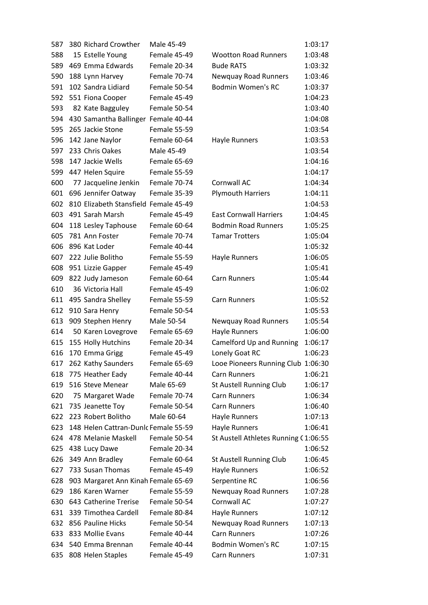| 587 | 380 Richard Crowther                  | Male 45-49   |                                      | 1:03:17 |
|-----|---------------------------------------|--------------|--------------------------------------|---------|
| 588 | 15 Estelle Young                      | Female 45-49 | <b>Wootton Road Runners</b>          | 1:03:48 |
| 589 | 469 Emma Edwards                      | Female 20-34 | <b>Bude RATS</b>                     | 1:03:32 |
| 590 | 188 Lynn Harvey                       | Female 70-74 | Newquay Road Runners                 | 1:03:46 |
| 591 | 102 Sandra Lidiard                    | Female 50-54 | <b>Bodmin Women's RC</b>             | 1:03:37 |
| 592 | 551 Fiona Cooper                      | Female 45-49 |                                      | 1:04:23 |
| 593 | 82 Kate Bagguley                      | Female 50-54 |                                      | 1:03:40 |
| 594 | 430 Samantha Ballinger Female 40-44   |              |                                      | 1:04:08 |
| 595 | 265 Jackie Stone                      | Female 55-59 |                                      | 1:03:54 |
| 596 | 142 Jane Naylor                       | Female 60-64 | Hayle Runners                        | 1:03:53 |
| 597 | 233 Chris Oakes                       | Male 45-49   |                                      | 1:03:54 |
| 598 | 147 Jackie Wells                      | Female 65-69 |                                      | 1:04:16 |
| 599 | 447 Helen Squire                      | Female 55-59 |                                      | 1:04:17 |
| 600 | 77 Jacqueline Jenkin                  | Female 70-74 | Cornwall AC                          | 1:04:34 |
| 601 | 696 Jennifer Oatway                   | Female 35-39 | <b>Plymouth Harriers</b>             | 1:04:11 |
| 602 | 810 Elizabeth Stansfield Female 45-49 |              |                                      | 1:04:53 |
| 603 | 491 Sarah Marsh                       | Female 45-49 | <b>East Cornwall Harriers</b>        | 1:04:45 |
| 604 | 118 Lesley Taphouse                   | Female 60-64 | <b>Bodmin Road Runners</b>           | 1:05:25 |
| 605 | 781 Ann Foster                        | Female 70-74 | <b>Tamar Trotters</b>                | 1:05:04 |
| 606 | 896 Kat Loder                         | Female 40-44 |                                      | 1:05:32 |
| 607 | 222 Julie Bolitho                     | Female 55-59 | Hayle Runners                        | 1:06:05 |
| 608 | 951 Lizzie Gapper                     | Female 45-49 |                                      | 1:05:41 |
| 609 | 822 Judy Jameson                      | Female 60-64 | Carn Runners                         | 1:05:44 |
| 610 | 36 Victoria Hall                      | Female 45-49 |                                      | 1:06:02 |
| 611 | 495 Sandra Shelley                    | Female 55-59 | Carn Runners                         | 1:05:52 |
| 612 | 910 Sara Henry                        | Female 50-54 |                                      | 1:05:53 |
| 613 | 909 Stephen Henry                     | Male 50-54   | <b>Newquay Road Runners</b>          | 1:05:54 |
| 614 | 50 Karen Lovegrove                    | Female 65-69 | Hayle Runners                        | 1:06:00 |
| 615 | 155 Holly Hutchins                    | Female 20-34 | Camelford Up and Running             | 1:06:17 |
| 616 | 170 Emma Grigg                        | Female 45-49 | Lonely Goat RC                       | 1:06:23 |
| 617 | 262 Kathy Saunders                    | Female 65-69 | Looe Pioneers Running Club 1:06:30   |         |
| 618 | 775 Heather Eady                      | Female 40-44 | <b>Carn Runners</b>                  | 1:06:21 |
| 619 | 516 Steve Menear                      | Male 65-69   | St Austell Running Club              | 1:06:17 |
| 620 | 75 Margaret Wade                      | Female 70-74 | Carn Runners                         | 1:06:34 |
| 621 | 735 Jeanette Toy                      | Female 50-54 | Carn Runners                         | 1:06:40 |
| 622 | 223 Robert Bolitho                    | Male 60-64   | Hayle Runners                        | 1:07:13 |
| 623 | 148 Helen Cattran-Dunlc Female 55-59  |              | Hayle Runners                        | 1:06:41 |
| 624 | 478 Melanie Maskell                   | Female 50-54 | St Austell Athletes Running (1:06:55 |         |
| 625 | 438 Lucy Dawe                         | Female 20-34 |                                      | 1:06:52 |
| 626 | 349 Ann Bradley                       | Female 60-64 | St Austell Running Club              | 1:06:45 |
| 627 | 733 Susan Thomas                      | Female 45-49 | Hayle Runners                        | 1:06:52 |
| 628 | 903 Margaret Ann Kinah Female 65-69   |              | Serpentine RC                        | 1:06:56 |
| 629 | 186 Karen Warner                      | Female 55-59 | Newquay Road Runners                 | 1:07:28 |
| 630 | 643 Catherine Trerise                 | Female 50-54 | Cornwall AC                          | 1:07:27 |
| 631 | 339 Timothea Cardell                  | Female 80-84 | Hayle Runners                        | 1:07:12 |
| 632 | 856 Pauline Hicks                     | Female 50-54 | Newquay Road Runners                 | 1:07:13 |
| 633 | 833 Mollie Evans                      | Female 40-44 | <b>Carn Runners</b>                  | 1:07:26 |
| 634 | 540 Emma Brennan                      | Female 40-44 | <b>Bodmin Women's RC</b>             | 1:07:15 |
| 635 | 808 Helen Staples                     | Female 45-49 | Carn Runners                         | 1:07:31 |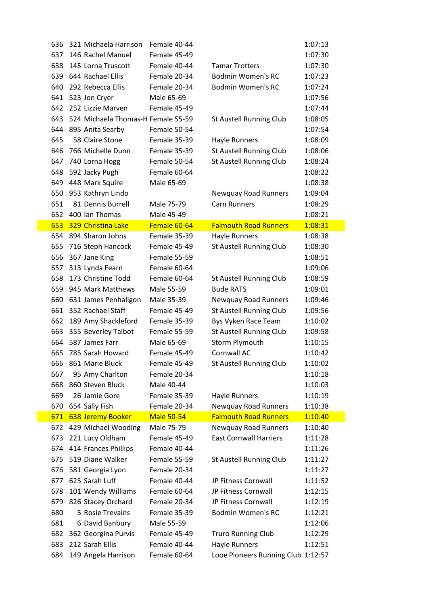| 636 | 321 Michaela Harrison              | Female 40-44      |                               | 1:07:13 |
|-----|------------------------------------|-------------------|-------------------------------|---------|
| 637 | 146 Rachel Manuel                  | Female 45-49      |                               | 1:07:30 |
| 638 | 145 Lorna Truscott                 | Female 40-44      | <b>Tamar Trotters</b>         | 1:07:30 |
| 639 | 644 Rachael Ellis                  | Female 20-34      | <b>Bodmin Women's RC</b>      | 1:07:23 |
| 640 | 292 Rebecca Ellis                  | Female 20-34      | <b>Bodmin Women's RC</b>      | 1:07:24 |
| 641 | 523 Jon Cryer                      | Male 65-69        |                               | 1:07:56 |
| 642 | 252 Lizzie Marven                  | Female 45-49      |                               | 1:07:44 |
| 643 | 524 Michaela Thomas-H Female 55-59 |                   | St Austell Running Club       | 1:08:05 |
| 644 | 895 Anita Searby                   | Female 50-54      |                               | 1:07:54 |
| 645 | 58 Claire Stone                    | Female 35-39      | Hayle Runners                 | 1:08:09 |
| 646 | 766 Michelle Dunn                  | Female 35-39      | St Austell Running Club       | 1:08:06 |
| 647 | 740 Lorna Hogg                     | Female 50-54      | St Austell Running Club       | 1:08:24 |
| 648 | 592 Jacky Pugh                     | Female 60-64      |                               | 1:08:22 |
| 649 | 448 Mark Squire                    | Male 65-69        |                               | 1:08:38 |
| 650 | 953 Kathryn Lindo                  |                   | <b>Newquay Road Runners</b>   | 1:09:04 |
| 651 | 81 Dennis Burrell                  | Male 75-79        | <b>Carn Runners</b>           | 1:08:29 |
| 652 | 400 Ian Thomas                     | Male 45-49        |                               | 1:08:21 |
| 653 | 329 Christina Lake                 | Female 60-64      | <b>Falmouth Road Runners</b>  | 1:08:31 |
| 654 | 894 Sharon Johns                   | Female 35-39      | Hayle Runners                 | 1:08:38 |
| 655 | 716 Steph Hancock                  | Female 45-49      | St Austell Running Club       | 1:08:30 |
| 656 | 367 Jane King                      | Female 55-59      |                               | 1:08:51 |
| 657 | 313 Lynda Fearn                    | Female 60-64      |                               | 1:09:06 |
| 658 | 173 Christine Todd                 | Female 60-64      | St Austell Running Club       | 1:08:59 |
| 659 | 945 Mark Matthews                  | Male 55-59        | <b>Bude RATS</b>              | 1:09:01 |
| 660 | 631 James Penhaligon               | Male 35-39        | <b>Newquay Road Runners</b>   | 1:09:46 |
| 661 | 352 Rachael Staff                  | Female 45-49      | St Austell Running Club       | 1:09:56 |
| 662 | 189 Amy Shackleford                | Female 35-39      | Bys Vyken Race Team           | 1:10:02 |
| 663 | 355 Beverley Talbot                | Female 55-59      | St Austell Running Club       | 1:09:58 |
| 664 | 587 James Farr                     | Male 65-69        | Storm Plymouth                | 1:10:15 |
| 665 | 785 Sarah Howard                   | Female 45-49      | Cornwall AC                   | 1:10:42 |
|     |                                    |                   |                               |         |
|     | 666 861 Marie Bluck                | Female 45-49      | St Austell Running Club       | 1:10:02 |
| 667 | 95 Amy Charlton                    | Female 20-34      |                               | 1:10:18 |
| 668 | 860 Steven Bluck                   | Male 40-44        |                               | 1:10:03 |
| 669 | 26 Jamie Gore                      | Female 35-39      | Hayle Runners                 | 1:10:19 |
| 670 | 654 Sally Fish                     | Female 20-34      | <b>Newquay Road Runners</b>   | 1:10:38 |
| 671 | 638 Jeremy Booker                  | <b>Male 50-54</b> | <b>Falmouth Road Runners</b>  | 1:10:40 |
| 672 | 429 Michael Wooding                | Male 75-79        | <b>Newquay Road Runners</b>   | 1:10:40 |
| 673 | 221 Lucy Oldham                    | Female 45-49      | <b>East Cornwall Harriers</b> | 1:11:28 |
| 674 | 414 Frances Phillips               | Female 40-44      |                               | 1:11:26 |
| 675 | 519 Diane Walker                   | Female 55-59      | St Austell Running Club       | 1:11:27 |
| 676 | 581 Georgia Lyon                   | Female 20-34      |                               | 1:11:27 |
| 677 | 625 Sarah Luff                     | Female 40-44      | JP Fitness Cornwall           | 1:11:52 |
| 678 | 101 Wendy Williams                 | Female 60-64      | JP Fitness Cornwall           | 1:12:15 |
| 679 | 826 Stacey Orchard                 | Female 20-34      | JP Fitness Cornwall           | 1:12:19 |
| 680 | 5 Rosie Trevains                   | Female 35-39      | <b>Bodmin Women's RC</b>      | 1:12:21 |
| 681 | 6 David Banbury                    | Male 55-59        |                               | 1:12:06 |
| 682 | 362 Georgina Purvis                | Female 45-49      | <b>Truro Running Club</b>     | 1:12:29 |
| 683 | 212 Sarah Ellis                    | Female 40-44      | Hayle Runners                 | 1:12:51 |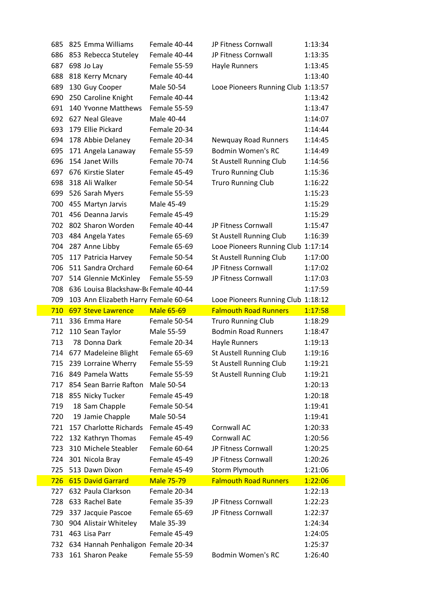| 685        | 825 Emma Williams                          | Female 40-44                      | JP Fitness Cornwall                            | 1:13:34            |
|------------|--------------------------------------------|-----------------------------------|------------------------------------------------|--------------------|
| 686        | 853 Rebecca Stuteley                       | Female 40-44                      | JP Fitness Cornwall                            | 1:13:35            |
| 687        | 698 Jo Lay                                 | Female 55-59                      | Hayle Runners                                  | 1:13:45            |
| 688        | 818 Kerry Mcnary                           | Female 40-44                      |                                                | 1:13:40            |
| 689        | 130 Guy Cooper                             | Male 50-54                        | Looe Pioneers Running Club 1:13:57             |                    |
| 690        | 250 Caroline Knight                        | Female 40-44                      |                                                | 1:13:42            |
| 691        | 140 Yvonne Matthews                        | Female 55-59                      |                                                | 1:13:47            |
| 692        | 627 Neal Gleave                            | Male 40-44                        |                                                | 1:14:07            |
| 693        | 179 Ellie Pickard                          | Female 20-34                      |                                                | 1:14:44            |
| 694        | 178 Abbie Delaney                          | Female 20-34                      | <b>Newquay Road Runners</b>                    | 1:14:45            |
| 695        | 171 Angela Lanaway                         | Female 55-59                      | <b>Bodmin Women's RC</b>                       | 1:14:49            |
| 696        | 154 Janet Wills                            | Female 70-74                      | St Austell Running Club                        | 1:14:56            |
| 697        | 676 Kirstie Slater                         | Female 45-49                      | <b>Truro Running Club</b>                      | 1:15:36            |
| 698        | 318 Ali Walker                             | Female 50-54                      | <b>Truro Running Club</b>                      | 1:16:22            |
| 699        | 526 Sarah Myers                            | Female 55-59                      |                                                | 1:15:23            |
| 700        | 455 Martyn Jarvis                          | Male 45-49                        |                                                | 1:15:29            |
| 701        | 456 Deanna Jarvis                          | Female 45-49                      |                                                | 1:15:29            |
|            | 702 802 Sharon Worden                      | Female 40-44                      | JP Fitness Cornwall                            | 1:15:47            |
| 703        | 484 Angela Yates                           | Female 65-69                      | St Austell Running Club                        | 1:16:39            |
| 704        | 287 Anne Libby                             | Female 65-69                      | Looe Pioneers Running Club 1:17:14             |                    |
| 705        | 117 Patricia Harvey                        | Female 50-54                      | St Austell Running Club                        | 1:17:00            |
| 706        | 511 Sandra Orchard                         | Female 60-64                      | JP Fitness Cornwall                            | 1:17:02            |
|            | 707 514 Glennie McKinley                   | Female 55-59                      | JP Fitness Cornwall                            | 1:17:03            |
| 708        | 636 Louisa Blackshaw-Br Female 40-44       |                                   |                                                | 1:17:59            |
| 709        | 103 Ann Elizabeth Harry Female 60-64       |                                   |                                                |                    |
|            |                                            |                                   | Looe Pioneers Running Club 1:18:12             |                    |
| 710        | <b>697 Steve Lawrence</b>                  | <b>Male 65-69</b>                 | <b>Falmouth Road Runners</b>                   | 1:17:58            |
|            | 711 336 Emma Hare                          | Female 50-54                      | <b>Truro Running Club</b>                      | 1:18:29            |
| 712        | 110 Sean Taylor                            | Male 55-59                        | <b>Bodmin Road Runners</b>                     | 1:18:47            |
| 713        | 78 Donna Dark                              | Female 20-34                      | Hayle Runners                                  | 1:19:13            |
|            | 714 677 Madeleine Blight                   | Female 65-69                      | St Austell Running Club                        | 1:19:16            |
| 715        | 239 Lorraine Wherry                        | Female 55-59                      | St Austell Running Club                        | 1:19:21            |
| 716        | 849 Pamela Watts                           | Female 55-59                      | St Austell Running Club                        | 1:19:21            |
| 717        | 854 Sean Barrie Rafton                     | Male 50-54                        |                                                | 1:20:13            |
| 718        | 855 Nicky Tucker                           | Female 45-49                      |                                                | 1:20:18            |
| 719        | 18 Sam Chapple                             | Female 50-54                      |                                                | 1:19:41            |
| 720        | 19 Jamie Chapple                           | Male 50-54                        |                                                | 1:19:41            |
| 721        | 157 Charlotte Richards                     | Female 45-49                      | Cornwall AC                                    | 1:20:33            |
| 722        | 132 Kathryn Thomas                         | Female 45-49                      | Cornwall AC                                    | 1:20:56            |
| 723        | 310 Michele Steabler                       | Female 60-64                      | JP Fitness Cornwall                            | 1:20:25            |
| 724        | 301 Nicola Bray                            | Female 45-49                      | JP Fitness Cornwall                            | 1:20:26            |
| 725<br>726 | 513 Dawn Dixon<br><b>615 David Garrard</b> | Female 45-49<br><b>Male 75-79</b> | Storm Plymouth<br><b>Falmouth Road Runners</b> | 1:21:06            |
| 727        | 632 Paula Clarkson                         | Female 20-34                      |                                                | 1:22:06<br>1:22:13 |
| 728        | 633 Rachel Bate                            | Female 35-39                      | JP Fitness Cornwall                            | 1:22:23            |
| 729        | 337 Jacquie Pascoe                         | Female 65-69                      | JP Fitness Cornwall                            | 1:22:37            |
| 730        | 904 Alistair Whiteley                      | Male 35-39                        |                                                | 1:24:34            |
|            | 731 463 Lisa Parr                          | Female 45-49                      |                                                | 1:24:05            |
|            | 732 634 Hannah Penhaligon Female 20-34     |                                   |                                                | 1:25:37            |